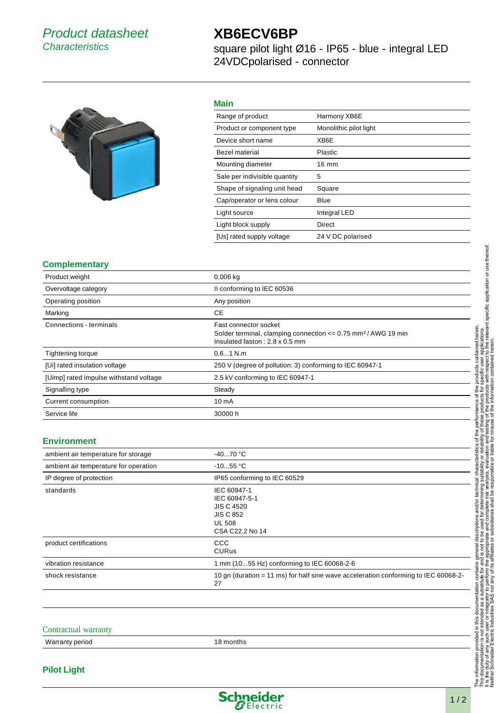## Product datasheet **Characteristics**

# **XB6ECV6BP**

square pilot light Ø16 - IP65 - blue - integral LED 24VDCpolarised - connector



## **Main**

| Range of product              | Harmony XB6E           |
|-------------------------------|------------------------|
| Product or component type     | Monolithic pilot light |
| Device short name             | XB6E                   |
| Bezel material                | Plastic                |
| Mounting diameter             | 16 mm                  |
| Sale per indivisible quantity | 5                      |
| Shape of signaling unit head  | Square                 |
| Cap/operator or lens colour   | Blue                   |
| Light source                  | <b>Integral LED</b>    |
| Light block supply            | Direct                 |
| [Us] rated supply voltage     | 24 V DC polarised      |

## **Complementary**

| Product weight                         | $0.006$ kg                                                                                                                                      |
|----------------------------------------|-------------------------------------------------------------------------------------------------------------------------------------------------|
| Overvoltage category                   | Il conforming to IEC 60536                                                                                                                      |
| Operating position                     | Any position                                                                                                                                    |
| Marking                                | СE                                                                                                                                              |
| Connections - terminals                | Fast connector socket<br>Solder terminal, clamping connection $\leq$ 0.75 mm <sup>2</sup> / AWG 19 min<br>Insulated faston: $2.8 \times 0.5$ mm |
| <b>Tightening torque</b>               | $0.61$ N.m.                                                                                                                                     |
| [Ui] rated insulation voltage          | 250 V (degree of pollution: 3) conforming to IEC 60947-1                                                                                        |
| [Uimp] rated impulse withstand voltage | 2.5 kV conforming to IEC 60947-1                                                                                                                |
| Signalling type                        | Steady                                                                                                                                          |
| Current consumption                    | 10 <sub>m</sub> A                                                                                                                               |
| Service life                           | 30000 h                                                                                                                                         |

## **Environment**

| ambient air temperature for storage   | $-4070 °C$                                                                                                |
|---------------------------------------|-----------------------------------------------------------------------------------------------------------|
| ambient air temperature for operation | $-1055$ °C                                                                                                |
| IP degree of protection               | IP65 conforming to IEC 60529                                                                              |
| standards                             | IEC 60947-1<br>IEC 60947-5-1<br><b>JIS C 4520</b><br><b>JIS C 852</b><br><b>UL 508</b><br>CSA C22.2 No 14 |
| product certifications                | CCC<br><b>CURus</b>                                                                                       |
| vibration resistance                  | 1 mm (1055 Hz) conforming to IEC 60068-2-6                                                                |
| shock resistance                      | 10 gn (duration = 11 ms) for half sine wave acceleration conforming to IEC 60068-2-<br>27                 |
|                                       |                                                                                                           |

#### Contractual warranty

Warranty period 18 months

#### **Pilot Light**